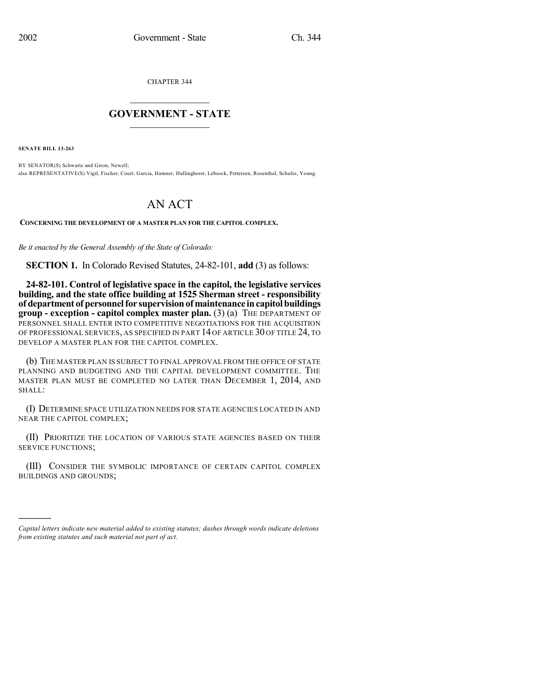CHAPTER 344

## $\overline{\phantom{a}}$  . The set of the set of the set of the set of the set of the set of the set of the set of the set of the set of the set of the set of the set of the set of the set of the set of the set of the set of the set o **GOVERNMENT - STATE**  $\_$

**SENATE BILL 13-263**

)))))

BY SENATOR(S) Schwartz and Giron, Newell; also REPRESENTATIVE(S) Vigil, Fischer, Court, Garcia, Hamner, Hullinghorst, Lebsock, Pettersen, Rosenthal, Schafer, Young.

## AN ACT

**CONCERNING THE DEVELOPMENT OF A MASTER PLAN FOR THE CAPITOL COMPLEX.**

*Be it enacted by the General Assembly of the State of Colorado:*

**SECTION 1.** In Colorado Revised Statutes, 24-82-101, **add** (3) as follows:

**24-82-101. Control of legislative space in the capitol, the legislative services building, and the state office building at 1525 Sherman street - responsibility of department of personnel for supervision of maintenance in capitol buildings group - exception - capitol complex master plan.** (3) (a) THE DEPARTMENT OF PERSONNEL SHALL ENTER INTO COMPETITIVE NEGOTIATIONS FOR THE ACQUISITION OF PROFESSIONAL SERVICES, AS SPECIFIED IN PART 14 OF ARTICLE 30 OF TITLE 24, TO DEVELOP A MASTER PLAN FOR THE CAPITOL COMPLEX.

(b) THE MASTER PLAN IS SUBJECT TO FINAL APPROVAL FROM THE OFFICE OF STATE PLANNING AND BUDGETING AND THE CAPITAL DEVELOPMENT COMMITTEE. THE MASTER PLAN MUST BE COMPLETED NO LATER THAN DECEMBER 1, 2014, AND SHALL:

(I) DETERMINE SPACE UTILIZATION NEEDS FOR STATE AGENCIES LOCATED IN AND NEAR THE CAPITOL COMPLEX;

(II) PRIORITIZE THE LOCATION OF VARIOUS STATE AGENCIES BASED ON THEIR SERVICE FUNCTIONS;

(III) CONSIDER THE SYMBOLIC IMPORTANCE OF CERTAIN CAPITOL COMPLEX BUILDINGS AND GROUNDS;

*Capital letters indicate new material added to existing statutes; dashes through words indicate deletions from existing statutes and such material not part of act.*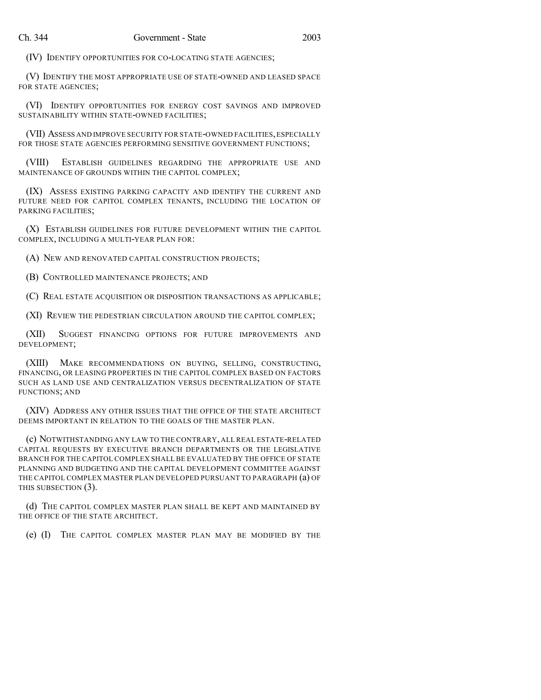(IV) IDENTIFY OPPORTUNITIES FOR CO-LOCATING STATE AGENCIES;

(V) IDENTIFY THE MOST APPROPRIATE USE OF STATE-OWNED AND LEASED SPACE FOR STATE AGENCIES;

(VI) IDENTIFY OPPORTUNITIES FOR ENERGY COST SAVINGS AND IMPROVED SUSTAINABILITY WITHIN STATE-OWNED FACILITIES;

(VII) ASSESS AND IMPROVE SECURITY FOR STATE-OWNED FACILITIES, ESPECIALLY FOR THOSE STATE AGENCIES PERFORMING SENSITIVE GOVERNMENT FUNCTIONS;

(VIII) ESTABLISH GUIDELINES REGARDING THE APPROPRIATE USE AND MAINTENANCE OF GROUNDS WITHIN THE CAPITOL COMPLEX;

(IX) ASSESS EXISTING PARKING CAPACITY AND IDENTIFY THE CURRENT AND FUTURE NEED FOR CAPITOL COMPLEX TENANTS, INCLUDING THE LOCATION OF PARKING FACILITIES;

(X) ESTABLISH GUIDELINES FOR FUTURE DEVELOPMENT WITHIN THE CAPITOL COMPLEX, INCLUDING A MULTI-YEAR PLAN FOR:

(A) NEW AND RENOVATED CAPITAL CONSTRUCTION PROJECTS;

(B) CONTROLLED MAINTENANCE PROJECTS; AND

(C) REAL ESTATE ACQUISITION OR DISPOSITION TRANSACTIONS AS APPLICABLE;

(XI) REVIEW THE PEDESTRIAN CIRCULATION AROUND THE CAPITOL COMPLEX;

(XII) SUGGEST FINANCING OPTIONS FOR FUTURE IMPROVEMENTS AND DEVELOPMENT;

(XIII) MAKE RECOMMENDATIONS ON BUYING, SELLING, CONSTRUCTING, FINANCING, OR LEASING PROPERTIES IN THE CAPITOL COMPLEX BASED ON FACTORS SUCH AS LAND USE AND CENTRALIZATION VERSUS DECENTRALIZATION OF STATE FUNCTIONS; AND

(XIV) ADDRESS ANY OTHER ISSUES THAT THE OFFICE OF THE STATE ARCHITECT DEEMS IMPORTANT IN RELATION TO THE GOALS OF THE MASTER PLAN.

(c) NOTWITHSTANDING ANY LAW TO THE CONTRARY, ALL REAL ESTATE-RELATED CAPITAL REQUESTS BY EXECUTIVE BRANCH DEPARTMENTS OR THE LEGISLATIVE BRANCH FOR THE CAPITOL COMPLEX SHALL BE EVALUATED BY THE OFFICE OF STATE PLANNING AND BUDGETING AND THE CAPITAL DEVELOPMENT COMMITTEE AGAINST THE CAPITOL COMPLEX MASTER PLAN DEVELOPED PURSUANT TO PARAGRAPH (a) OF THIS SUBSECTION (3).

(d) THE CAPITOL COMPLEX MASTER PLAN SHALL BE KEPT AND MAINTAINED BY THE OFFICE OF THE STATE ARCHITECT.

(e) (I) THE CAPITOL COMPLEX MASTER PLAN MAY BE MODIFIED BY THE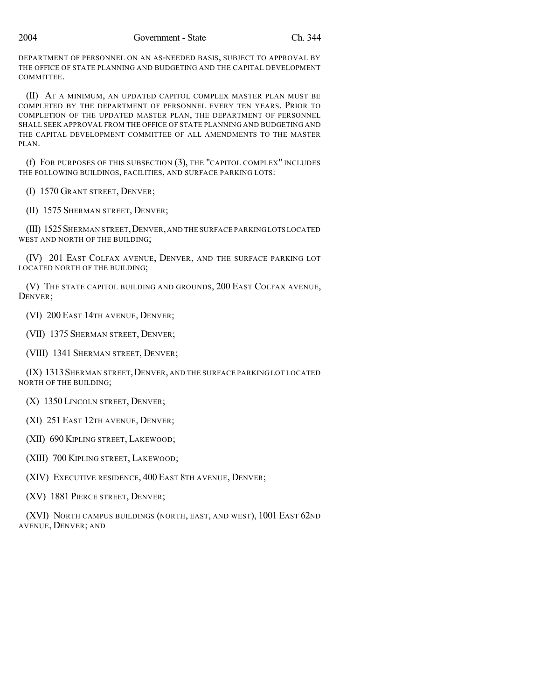DEPARTMENT OF PERSONNEL ON AN AS-NEEDED BASIS, SUBJECT TO APPROVAL BY THE OFFICE OF STATE PLANNING AND BUDGETING AND THE CAPITAL DEVELOPMENT COMMITTEE.

(II) AT A MINIMUM, AN UPDATED CAPITOL COMPLEX MASTER PLAN MUST BE COMPLETED BY THE DEPARTMENT OF PERSONNEL EVERY TEN YEARS. PRIOR TO COMPLETION OF THE UPDATED MASTER PLAN, THE DEPARTMENT OF PERSONNEL SHALL SEEK APPROVAL FROM THE OFFICE OF STATE PLANNING AND BUDGETING AND THE CAPITAL DEVELOPMENT COMMITTEE OF ALL AMENDMENTS TO THE MASTER PLAN.

(f) FOR PURPOSES OF THIS SUBSECTION (3), THE "CAPITOL COMPLEX" INCLUDES THE FOLLOWING BUILDINGS, FACILITIES, AND SURFACE PARKING LOTS:

(I) 1570 GRANT STREET, DENVER;

(II) 1575 SHERMAN STREET, DENVER;

(III) 1525SHERMAN STREET,DENVER,AND THE SURFACE PARKING LOTS LOCATED WEST AND NORTH OF THE BUILDING;

(IV) 201 EAST COLFAX AVENUE, DENVER, AND THE SURFACE PARKING LOT LOCATED NORTH OF THE BUILDING;

(V) THE STATE CAPITOL BUILDING AND GROUNDS, 200 EAST COLFAX AVENUE, DENVER;

(VI) 200 EAST 14TH AVENUE, DENVER;

(VII) 1375 SHERMAN STREET, DENVER;

(VIII) 1341 SHERMAN STREET, DENVER;

(IX) 1313SHERMAN STREET,DENVER, AND THE SURFACE PARKING LOT LOCATED NORTH OF THE BUILDING;

(X) 1350 LINCOLN STREET, DENVER;

(XI) 251 EAST 12TH AVENUE, DENVER;

(XII) 690 KIPLING STREET, LAKEWOOD;

(XIII) 700 KIPLING STREET, LAKEWOOD;

(XIV) EXECUTIVE RESIDENCE, 400 EAST 8TH AVENUE, DENVER;

(XV) 1881 PIERCE STREET, DENVER;

(XVI) NORTH CAMPUS BUILDINGS (NORTH, EAST, AND WEST), 1001 EAST 62ND AVENUE, DENVER; AND